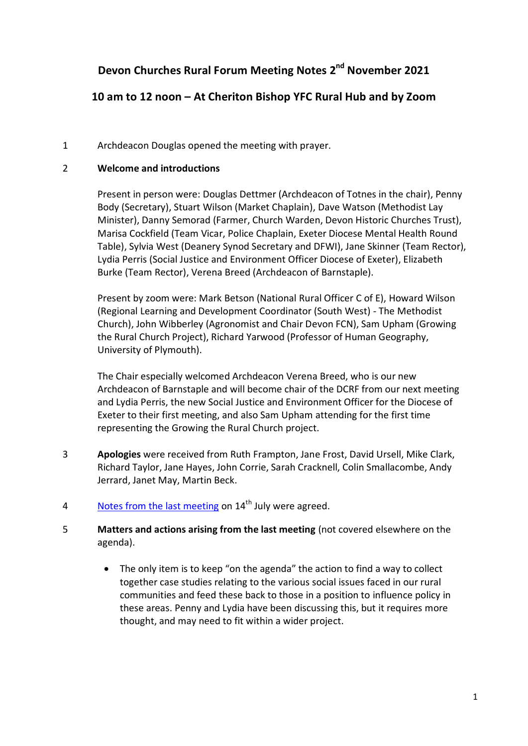# **Devon Churches Rural Forum Meeting Notes 2 nd November 2021**

# **10 am to 12 noon – At Cheriton Bishop YFC Rural Hub and by Zoom**

# 1 Archdeacon Douglas opened the meeting with prayer.

# 2 **Welcome and introductions**

Present in person were: Douglas Dettmer (Archdeacon of Totnes in the chair), Penny Body (Secretary), Stuart Wilson (Market Chaplain), Dave Watson (Methodist Lay Minister), Danny Semorad (Farmer, Church Warden, Devon Historic Churches Trust), Marisa Cockfield (Team Vicar, Police Chaplain, Exeter Diocese Mental Health Round Table), Sylvia West (Deanery Synod Secretary and DFWI), Jane Skinner (Team Rector), Lydia Perris (Social Justice and Environment Officer Diocese of Exeter), Elizabeth Burke (Team Rector), Verena Breed (Archdeacon of Barnstaple).

Present by zoom were: Mark Betson (National Rural Officer C of E), Howard Wilson (Regional Learning and Development Coordinator (South West) - The Methodist Church), John Wibberley (Agronomist and Chair Devon FCN), Sam Upham (Growing the Rural Church Project), Richard Yarwood (Professor of Human Geography, University of Plymouth).

The Chair especially welcomed Archdeacon Verena Breed, who is our new Archdeacon of Barnstaple and will become chair of the DCRF from our next meeting and Lydia Perris, the new Social Justice and Environment Officer for the Diocese of Exeter to their first meeting, and also Sam Upham attending for the first time representing the Growing the Rural Church project.

- 3 **Apologies** were received from Ruth Frampton, Jane Frost, David Ursell, Mike Clark, Richard Taylor, Jane Hayes, John Corrie, Sarah Cracknell, Colin Smallacombe, Andy Jerrard, Janet May, Martin Beck.
- 4 [Notes from the last meeting](https://www.devonchurchesruralforum.org.uk/devon-churches-rural-forum/meetings-minutes-agendas/meeting-minutes/) on  $14<sup>th</sup>$  July were agreed.
- 5 **Matters and actions arising from the last meeting** (not covered elsewhere on the agenda).
	- The only item is to keep "on the agenda" the action to find a way to collect together case studies relating to the various social issues faced in our rural communities and feed these back to those in a position to influence policy in these areas. Penny and Lydia have been discussing this, but it requires more thought, and may need to fit within a wider project.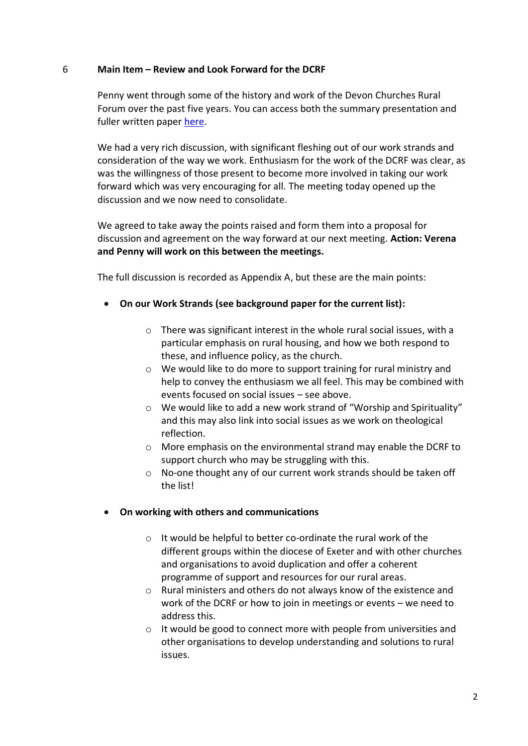#### 6 **Main Item – Review and Look Forward for the DCRF**

Penny went through some of the history and work of the Devon Churches Rural Forum over the past five years. You can access both the summary presentation and fuller written paper [here.](https://www.devonchurchesruralforum.org.uk/devon-churches-rural-forum/meetings-minutes-agendas/meeting-agendas/meeting-2nd-november-2021.php)

We had a very rich discussion, with significant fleshing out of our work strands and consideration of the way we work. Enthusiasm for the work of the DCRF was clear, as was the willingness of those present to become more involved in taking our work forward which was very encouraging for all. The meeting today opened up the discussion and we now need to consolidate.

We agreed to take away the points raised and form them into a proposal for discussion and agreement on the way forward at our next meeting. **Action: Verena and Penny will work on this between the meetings.**

The full discussion is recorded as Appendix A, but these are the main points:

- **On our Work Strands (see background paper for the current list):**
	- $\circ$  There was significant interest in the whole rural social issues, with a particular emphasis on rural housing, and how we both respond to these, and influence policy, as the church.
	- o We would like to do more to support training for rural ministry and help to convey the enthusiasm we all feel. This may be combined with events focused on social issues – see above.
	- o We would like to add a new work strand of "Worship and Spirituality" and this may also link into social issues as we work on theological reflection.
	- $\circ$  More emphasis on the environmental strand may enable the DCRF to support church who may be struggling with this.
	- o No-one thought any of our current work strands should be taken off the list!

# **On working with others and communications**

- o It would be helpful to better co-ordinate the rural work of the different groups within the diocese of Exeter and with other churches and organisations to avoid duplication and offer a coherent programme of support and resources for our rural areas.
- o Rural ministers and others do not always know of the existence and work of the DCRF or how to join in meetings or events – we need to address this.
- o It would be good to connect more with people from universities and other organisations to develop understanding and solutions to rural issues.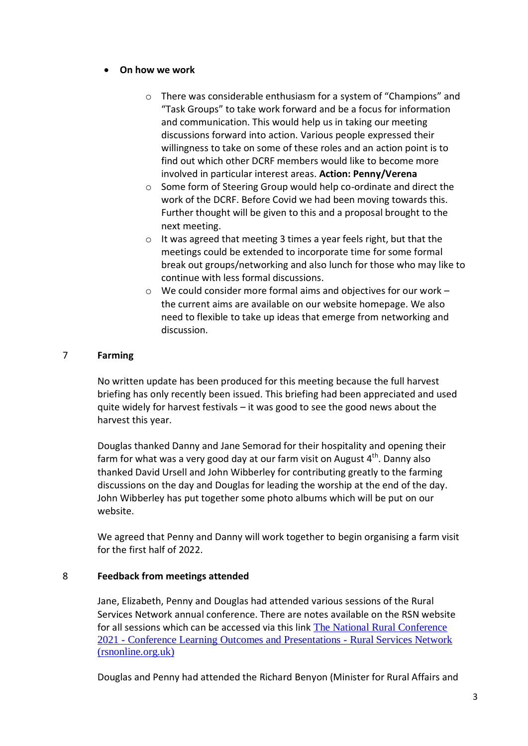#### **On how we work**

- o There was considerable enthusiasm for a system of "Champions" and "Task Groups" to take work forward and be a focus for information and communication. This would help us in taking our meeting discussions forward into action. Various people expressed their willingness to take on some of these roles and an action point is to find out which other DCRF members would like to become more involved in particular interest areas. **Action: Penny/Verena**
- o Some form of Steering Group would help co-ordinate and direct the work of the DCRF. Before Covid we had been moving towards this. Further thought will be given to this and a proposal brought to the next meeting.
- o It was agreed that meeting 3 times a year feels right, but that the meetings could be extended to incorporate time for some formal break out groups/networking and also lunch for those who may like to continue with less formal discussions.
- $\circ$  We could consider more formal aims and objectives for our work the current aims are available on our website homepage. We also need to flexible to take up ideas that emerge from networking and discussion.

### 7 **Farming**

No written update has been produced for this meeting because the full harvest briefing has only recently been issued. This briefing had been appreciated and used quite widely for harvest festivals – it was good to see the good news about the harvest this year.

Douglas thanked Danny and Jane Semorad for their hospitality and opening their farm for what was a very good day at our farm visit on August  $4<sup>th</sup>$ . Danny also thanked David Ursell and John Wibberley for contributing greatly to the farming discussions on the day and Douglas for leading the worship at the end of the day. John Wibberley has put together some photo albums which will be put on our website.

We agreed that Penny and Danny will work together to begin organising a farm visit for the first half of 2022.

# 8 **Feedback from meetings attended**

Jane, Elizabeth, Penny and Douglas had attended various sessions of the Rural Services Network annual conference. There are notes available on the RSN website for all sessions which can be accessed via this link [The National Rural Conference](https://rsnonline.org.uk/the-national-rural-conference-2021-conference-learning-outcomes-and-presentations)  2021 - [Conference Learning Outcomes and Presentations -](https://rsnonline.org.uk/the-national-rural-conference-2021-conference-learning-outcomes-and-presentations) Rural Services Network [\(rsnonline.org.uk\)](https://rsnonline.org.uk/the-national-rural-conference-2021-conference-learning-outcomes-and-presentations)

Douglas and Penny had attended the Richard Benyon (Minister for Rural Affairs and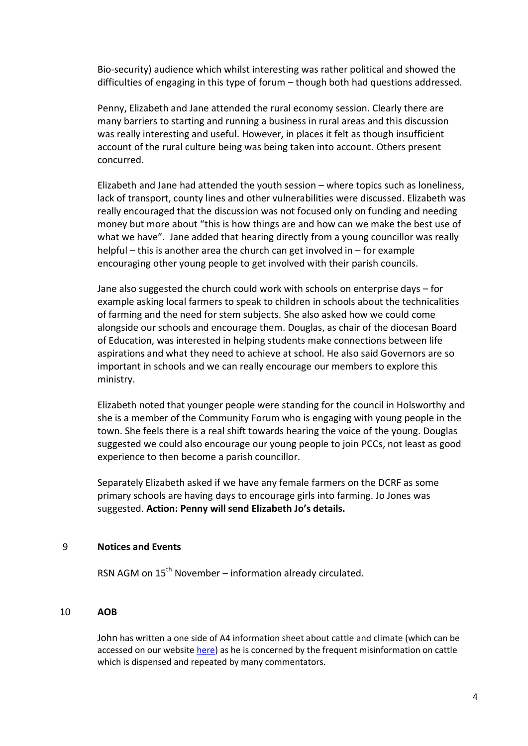Bio-security) audience which whilst interesting was rather political and showed the difficulties of engaging in this type of forum – though both had questions addressed.

Penny, Elizabeth and Jane attended the rural economy session. Clearly there are many barriers to starting and running a business in rural areas and this discussion was really interesting and useful. However, in places it felt as though insufficient account of the rural culture being was being taken into account. Others present concurred.

Elizabeth and Jane had attended the youth session – where topics such as loneliness, lack of transport, county lines and other vulnerabilities were discussed. Elizabeth was really encouraged that the discussion was not focused only on funding and needing money but more about "this is how things are and how can we make the best use of what we have". Jane added that hearing directly from a young councillor was really helpful – this is another area the church can get involved in – for example encouraging other young people to get involved with their parish councils.

Jane also suggested the church could work with schools on enterprise days – for example asking local farmers to speak to children in schools about the technicalities of farming and the need for stem subjects. She also asked how we could come alongside our schools and encourage them. Douglas, as chair of the diocesan Board of Education, was interested in helping students make connections between life aspirations and what they need to achieve at school. He also said Governors are so important in schools and we can really encourage our members to explore this ministry.

Elizabeth noted that younger people were standing for the council in Holsworthy and she is a member of the Community Forum who is engaging with young people in the town. She feels there is a real shift towards hearing the voice of the young. Douglas suggested we could also encourage our young people to join PCCs, not least as good experience to then become a parish councillor.

Separately Elizabeth asked if we have any female farmers on the DCRF as some primary schools are having days to encourage girls into farming. Jo Jones was suggested. **Action: Penny will send Elizabeth Jo's details.**

#### 9 **Notices and Events**

RSN AGM on  $15<sup>th</sup>$  November – information already circulated.

#### 10 **AOB**

John has written a one side of A4 information sheet about cattle and climate (which can be accessed on our website [here\)](https://www.devonchurchesruralforum.org.uk/farming/farming-reports/cattle-and-climate.php) as he is concerned by the frequent misinformation on cattle which is dispensed and repeated by many commentators.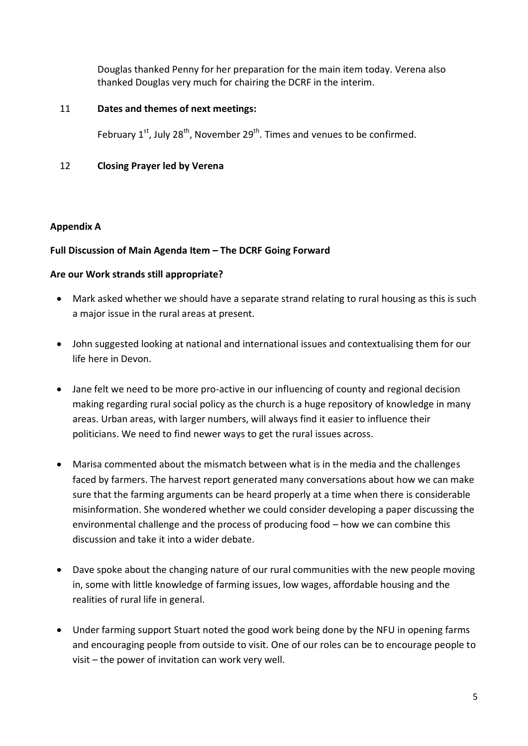Douglas thanked Penny for her preparation for the main item today. Verena also thanked Douglas very much for chairing the DCRF in the interim.

# 11 **Dates and themes of next meetings:**

February  $1^{st}$ , July 28<sup>th</sup>, November 29<sup>th</sup>. Times and venues to be confirmed.

# 12 **Closing Prayer led by Verena**

# **Appendix A**

# **Full Discussion of Main Agenda Item – The DCRF Going Forward**

# **Are our Work strands still appropriate?**

- Mark asked whether we should have a separate strand relating to rural housing as this is such a major issue in the rural areas at present.
- John suggested looking at national and international issues and contextualising them for our life here in Devon.
- Jane felt we need to be more pro-active in our influencing of county and regional decision making regarding rural social policy as the church is a huge repository of knowledge in many areas. Urban areas, with larger numbers, will always find it easier to influence their politicians. We need to find newer ways to get the rural issues across.
- Marisa commented about the mismatch between what is in the media and the challenges faced by farmers. The harvest report generated many conversations about how we can make sure that the farming arguments can be heard properly at a time when there is considerable misinformation. She wondered whether we could consider developing a paper discussing the environmental challenge and the process of producing food – how we can combine this discussion and take it into a wider debate.
- Dave spoke about the changing nature of our rural communities with the new people moving in, some with little knowledge of farming issues, low wages, affordable housing and the realities of rural life in general.
- Under farming support Stuart noted the good work being done by the NFU in opening farms and encouraging people from outside to visit. One of our roles can be to encourage people to visit – the power of invitation can work very well.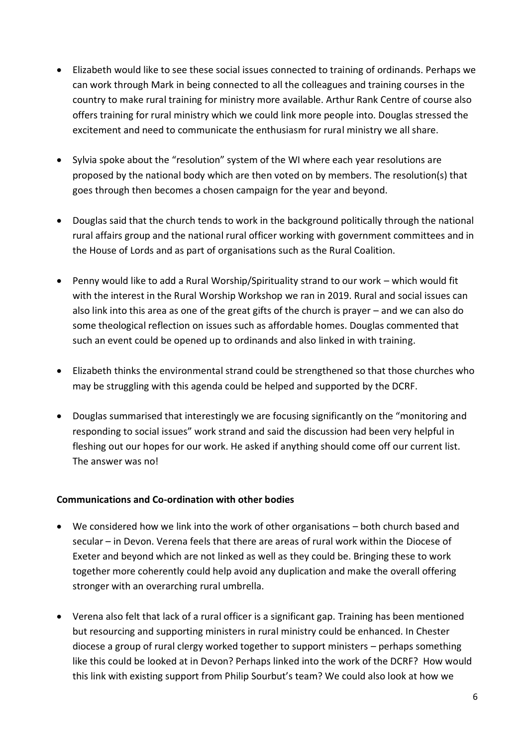- Elizabeth would like to see these social issues connected to training of ordinands. Perhaps we can work through Mark in being connected to all the colleagues and training courses in the country to make rural training for ministry more available. Arthur Rank Centre of course also offers training for rural ministry which we could link more people into. Douglas stressed the excitement and need to communicate the enthusiasm for rural ministry we all share.
- Sylvia spoke about the "resolution" system of the WI where each year resolutions are proposed by the national body which are then voted on by members. The resolution(s) that goes through then becomes a chosen campaign for the year and beyond.
- Douglas said that the church tends to work in the background politically through the national rural affairs group and the national rural officer working with government committees and in the House of Lords and as part of organisations such as the Rural Coalition.
- Penny would like to add a Rural Worship/Spirituality strand to our work which would fit with the interest in the Rural Worship Workshop we ran in 2019. Rural and social issues can also link into this area as one of the great gifts of the church is prayer – and we can also do some theological reflection on issues such as affordable homes. Douglas commented that such an event could be opened up to ordinands and also linked in with training.
- Elizabeth thinks the environmental strand could be strengthened so that those churches who may be struggling with this agenda could be helped and supported by the DCRF.
- Douglas summarised that interestingly we are focusing significantly on the "monitoring and responding to social issues" work strand and said the discussion had been very helpful in fleshing out our hopes for our work. He asked if anything should come off our current list. The answer was no!

# **Communications and Co-ordination with other bodies**

- We considered how we link into the work of other organisations both church based and secular – in Devon. Verena feels that there are areas of rural work within the Diocese of Exeter and beyond which are not linked as well as they could be. Bringing these to work together more coherently could help avoid any duplication and make the overall offering stronger with an overarching rural umbrella.
- Verena also felt that lack of a rural officer is a significant gap. Training has been mentioned but resourcing and supporting ministers in rural ministry could be enhanced. In Chester diocese a group of rural clergy worked together to support ministers – perhaps something like this could be looked at in Devon? Perhaps linked into the work of the DCRF? How would this link with existing support from Philip Sourbut's team? We could also look at how we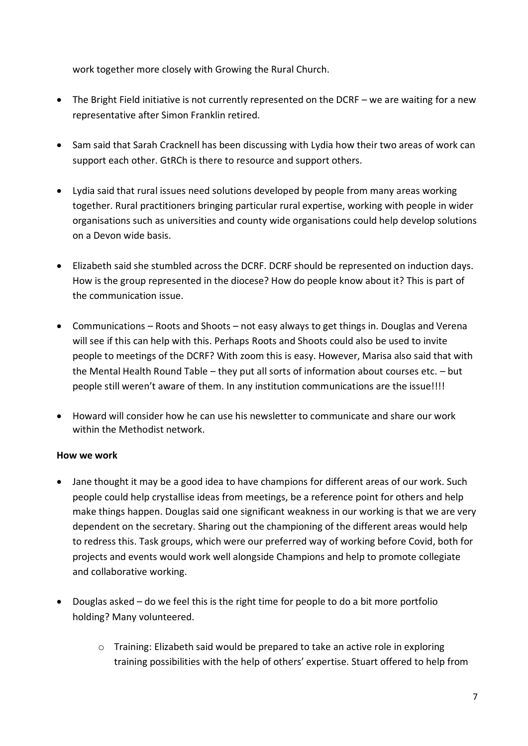work together more closely with Growing the Rural Church.

- The Bright Field initiative is not currently represented on the DCRF we are waiting for a new representative after Simon Franklin retired.
- Sam said that Sarah Cracknell has been discussing with Lydia how their two areas of work can support each other. GtRCh is there to resource and support others.
- Lydia said that rural issues need solutions developed by people from many areas working together. Rural practitioners bringing particular rural expertise, working with people in wider organisations such as universities and county wide organisations could help develop solutions on a Devon wide basis.
- Elizabeth said she stumbled across the DCRF. DCRF should be represented on induction days. How is the group represented in the diocese? How do people know about it? This is part of the communication issue.
- Communications Roots and Shoots not easy always to get things in. Douglas and Verena will see if this can help with this. Perhaps Roots and Shoots could also be used to invite people to meetings of the DCRF? With zoom this is easy. However, Marisa also said that with the Mental Health Round Table – they put all sorts of information about courses etc. – but people still weren't aware of them. In any institution communications are the issue!!!!
- Howard will consider how he can use his newsletter to communicate and share our work within the Methodist network.

# **How we work**

- Jane thought it may be a good idea to have champions for different areas of our work. Such people could help crystallise ideas from meetings, be a reference point for others and help make things happen. Douglas said one significant weakness in our working is that we are very dependent on the secretary. Sharing out the championing of the different areas would help to redress this. Task groups, which were our preferred way of working before Covid, both for projects and events would work well alongside Champions and help to promote collegiate and collaborative working.
- Douglas asked do we feel this is the right time for people to do a bit more portfolio holding? Many volunteered.
	- o Training: Elizabeth said would be prepared to take an active role in exploring training possibilities with the help of others' expertise. Stuart offered to help from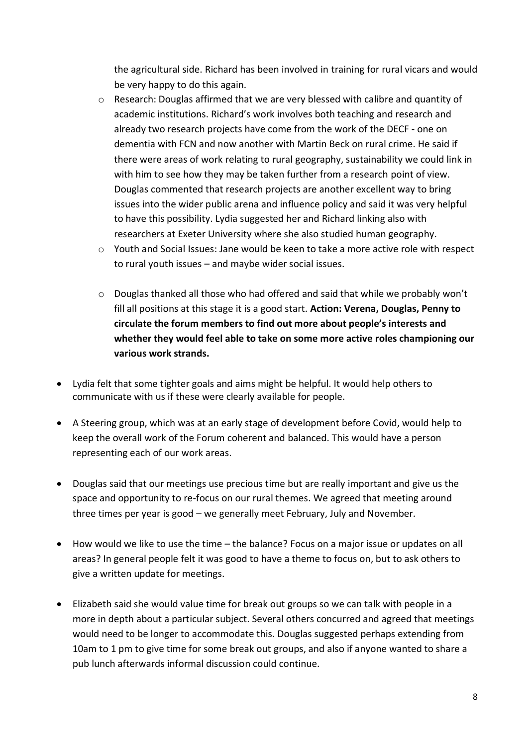the agricultural side. Richard has been involved in training for rural vicars and would be very happy to do this again.

- o Research: Douglas affirmed that we are very blessed with calibre and quantity of academic institutions. Richard's work involves both teaching and research and already two research projects have come from the work of the DECF - one on dementia with FCN and now another with Martin Beck on rural crime. He said if there were areas of work relating to rural geography, sustainability we could link in with him to see how they may be taken further from a research point of view. Douglas commented that research projects are another excellent way to bring issues into the wider public arena and influence policy and said it was very helpful to have this possibility. Lydia suggested her and Richard linking also with researchers at Exeter University where she also studied human geography.
- $\circ$  Youth and Social Issues: Jane would be keen to take a more active role with respect to rural youth issues – and maybe wider social issues.
- $\circ$  Douglas thanked all those who had offered and said that while we probably won't fill all positions at this stage it is a good start. **Action: Verena, Douglas, Penny to circulate the forum members to find out more about people's interests and whether they would feel able to take on some more active roles championing our various work strands.**
- Lydia felt that some tighter goals and aims might be helpful. It would help others to communicate with us if these were clearly available for people.
- A Steering group, which was at an early stage of development before Covid, would help to keep the overall work of the Forum coherent and balanced. This would have a person representing each of our work areas.
- Douglas said that our meetings use precious time but are really important and give us the space and opportunity to re-focus on our rural themes. We agreed that meeting around three times per year is good – we generally meet February, July and November.
- How would we like to use the time the balance? Focus on a major issue or updates on all areas? In general people felt it was good to have a theme to focus on, but to ask others to give a written update for meetings.
- Elizabeth said she would value time for break out groups so we can talk with people in a more in depth about a particular subject. Several others concurred and agreed that meetings would need to be longer to accommodate this. Douglas suggested perhaps extending from 10am to 1 pm to give time for some break out groups, and also if anyone wanted to share a pub lunch afterwards informal discussion could continue.